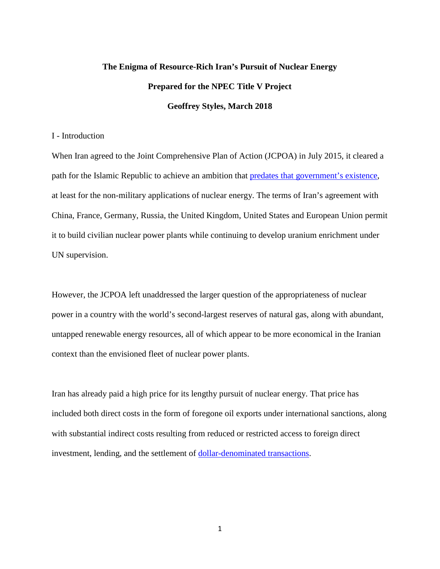# **The Enigma of Resource-Rich Iran's Pursuit of Nuclear Energy Prepared for the NPEC Title V Project Geoffrey Styles, March 2018**

# I - Introduction

When Iran agreed to the Joint Comprehensive Plan of Action (JCPOA) in July 2015, it cleared a path for the Islamic Republic to achieve an ambition that [predates that government's existence,](https://www.cfr.org/backgrounder/international-sanctions-iran) at least for the non-military applications of nuclear energy. The terms of Iran's agreement with China, France, Germany, Russia, the United Kingdom, United States and European Union permit it to build civilian nuclear power plants while continuing to develop uranium enrichment under UN supervision.

However, the JCPOA left unaddressed the larger question of the appropriateness of nuclear power in a country with the world's second-largest reserves of natural gas, along with abundant, untapped renewable energy resources, all of which appear to be more economical in the Iranian context than the envisioned fleet of nuclear power plants.

Iran has already paid a high price for its lengthy pursuit of nuclear energy. That price has included both direct costs in the form of foregone oil exports under international sanctions, along with substantial indirect costs resulting from reduced or restricted access to foreign direct investment, lending, and the settlement of **dollar-denominated transactions**.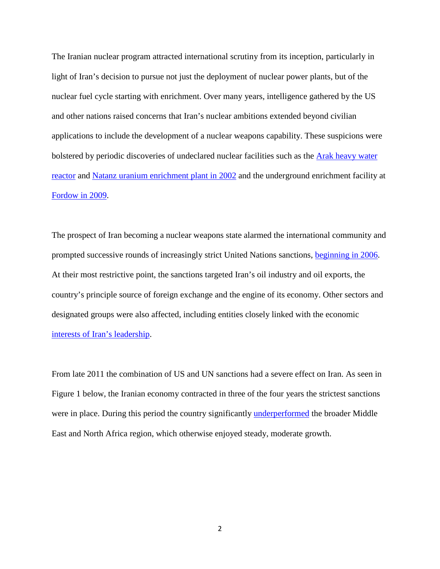The Iranian nuclear program attracted international scrutiny from its inception, particularly in light of Iran's decision to pursue not just the deployment of nuclear power plants, but of the nuclear fuel cycle starting with enrichment. Over many years, intelligence gathered by the US and other nations raised concerns that Iran's nuclear ambitions extended beyond civilian applications to include the development of a nuclear weapons capability. These suspicions were bolstered by periodic discoveries of undeclared nuclear facilities such as the [Arak heavy water](http://www.nti.org/learn/facilities/177/)  [reactor](http://www.nti.org/learn/facilities/177/) and [Natanz uranium enrichment plant in 2002](http://www.economist.com/node/14529841) and the underground enrichment facility at Fordow [in 2009.](https://www.reuters.com/article/us-nuclear-iran-fordow-plant/factbox-irans-fordow-plant-idUSBRE84N0MB20120524)

The prospect of Iran becoming a nuclear weapons state alarmed the international community and prompted successive rounds of increasingly strict United Nations sanctions, [beginning in 2006.](https://www.cfr.org/backgrounder/international-sanctions-iran) At their most restrictive point, the sanctions targeted Iran's oil industry and oil exports, the country's principle source of foreign exchange and the engine of its economy. Other sectors and designated groups were also affected, including entities closely linked with the economic [interests of Iran's leadership.](https://www.wsj.com/articles/hit-ayatollah-khamenei-in-his-pocketbook-1516666405)

From late 2011 the combination of US and UN sanctions had a severe effect on Iran. As seen in Figure 1 below, the Iranian economy contracted in three of the four years the strictest sanctions were in place. During this period the country significantly **underperformed** the broader Middle East and North Africa region, which otherwise enjoyed steady, moderate growth.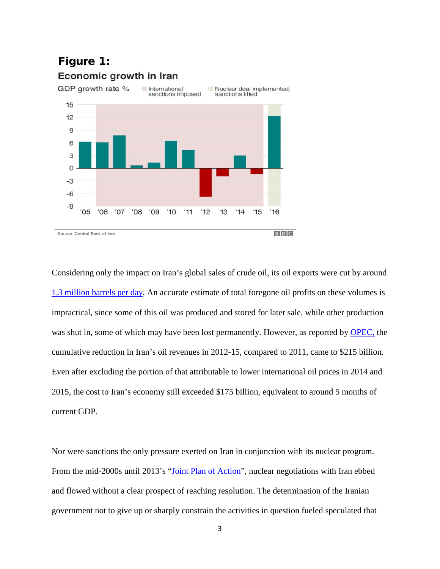

Considering only the impact on Iran's global sales of crude oil, its oil exports were cut by around 1.3 [million barrels per day.](https://fas.org/sgp/crs/mideast/RS20871.pdf) An accurate estimate of total foregone oil profits on these volumes is impractical, since some of this oil was produced and stored for later sale, while other production was shut in, some of which may have been lost permanently. However, as reported by [OPEC,](http://www.opec.org/opec_web/static_files_project/media/downloads/publications/ASB2016.pdf) the cumulative reduction in Iran's oil revenues in 2012-15, compared to 2011, came to \$215 billion. Even after excluding the portion of that attributable to lower international oil prices in 2014 and 2015, the cost to Iran's economy still exceeded \$175 billion, equivalent to around 5 months of current GDP.

Nor were sanctions the only pressure exerted on Iran in conjunction with its nuclear program. From the mid-2000s until 2013's ["Joint Plan of Action"](https://www.armscontrol.org/Implementation-of-the-Joint-Plan-of-Action-At-A-Glance), nuclear negotiations with Iran ebbed and flowed without a clear prospect of reaching resolution. The determination of the Iranian government not to give up or sharply constrain the activities in question fueled speculated that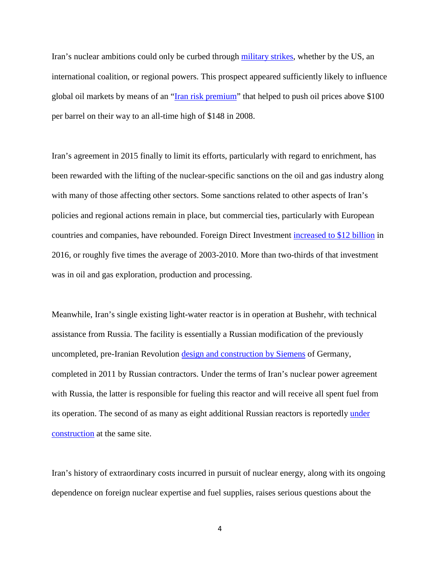Iran's nuclear ambitions could only be curbed through [military strikes,](http://www.nytimes.com/2006/01/22/weekinreview/why-not-a-strike-on-iran.html) whether by the US, an international coalition, or regional powers. This prospect appeared sufficiently likely to influence global oil markets by means of an ["Iran risk premium"](https://blogs.wsj.com/marketbeat/2011/11/08/nymex-crude-gushing-toward-100-partly-because-of-iran/) that helped to push oil prices above \$100 per barrel on their way to an all-time high of \$148 in 2008.

Iran's agreement in 2015 finally to limit its efforts, particularly with regard to enrichment, has been rewarded with the lifting of the nuclear-specific sanctions on the oil and gas industry along with many of those affecting other sectors. Some sanctions related to other aspects of Iran's policies and regional actions remain in place, but commercial ties, particularly with European countries and companies, have rebounded. Foreign Direct Investment [increased to \\$12 billion](https://www.ft.com/content/b6994c78-36f3-11e7-bce4-9023f8c0fd2e?desktop=true&segmentId=7c8f09b9-9b61-4fbb-9430-9208a9e233c8) in 2016, or roughly five times the average of 2003-2010. More than two-thirds of that investment was in oil and gas exploration, production and processing.

Meanwhile, Iran's single existing light-water reactor is in operation at Bushehr, with technical assistance from Russia. The facility is essentially a Russian modification of the previously uncompleted, pre-Iranian Revolution [design and construction by Siemens](http://www.world-nuclear.org/information-library/country-profiles/countries-g-n/iran.aspx) of Germany, completed in 2011 by Russian contractors. Under the terms of Iran's nuclear power agreement with Russia, the latter is responsible for fueling this reactor and will receive all spent fuel from its operation. The second of as many as eight additional Russian reactors is reportedly under [construction](https://www.reuters.com/article/us-iran-russia-nuclearpower/iran-russia-start-construction-of-new-iranian-nuclear-plant-idUSKCN11G0EB) at the same site.

Iran's history of extraordinary costs incurred in pursuit of nuclear energy, along with its ongoing dependence on foreign nuclear expertise and fuel supplies, raises serious questions about the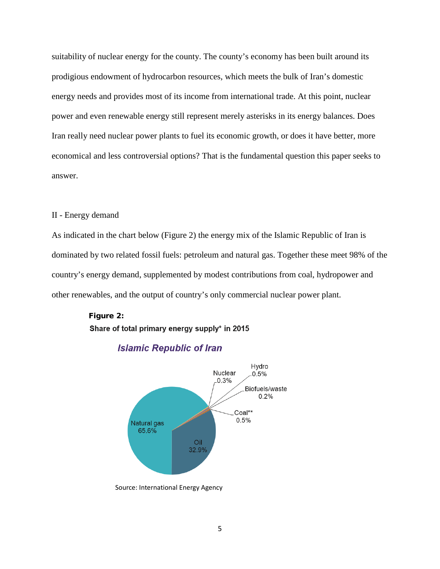suitability of nuclear energy for the county. The county's economy has been built around its prodigious endowment of hydrocarbon resources, which meets the bulk of Iran's domestic energy needs and provides most of its income from international trade. At this point, nuclear power and even renewable energy still represent merely asterisks in its energy balances. Does Iran really need nuclear power plants to fuel its economic growth, or does it have better, more economical and less controversial options? That is the fundamental question this paper seeks to answer.

# II - Energy demand

As indicated in the chart below (Figure 2) the energy mix of the Islamic Republic of Iran is dominated by two related fossil fuels: petroleum and natural gas. Together these meet 98% of the country's energy demand, supplemented by modest contributions from coal, hydropower and other renewables, and the output of country's only commercial nuclear power plant.

# Figure 2: Share of total primary energy supply\* in 2015



# **Islamic Republic of Iran**

Source: International Energy Agency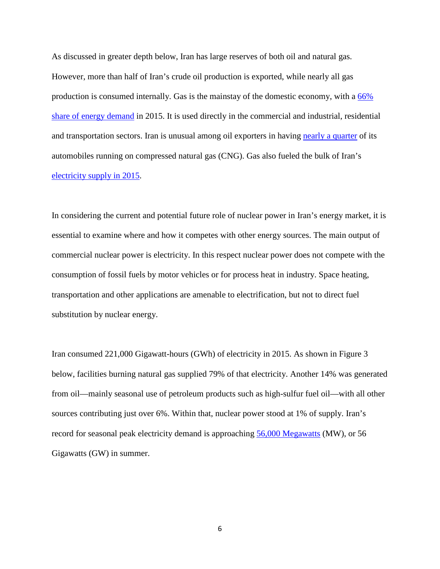As discussed in greater depth below, Iran has large reserves of both oil and natural gas. However, more than half of Iran's crude oil production is exported, while nearly all gas production is consumed internally. Gas is the mainstay of the domestic economy, with a [66%](http://www.iea.org/statistics/statisticssearch/report/?year=2015&country=IRAN&product=Balances)  [share of energy demand](http://www.iea.org/statistics/statisticssearch/report/?year=2015&country=IRAN&product=Balances) in 2015. It is used directly in the commercial and industrial, residential and transportation sectors. Iran is unusual among oil exporters in having [nearly a quarter](http://www.ra.camcom.gov.it/eurosportello/allegati-pina-newsletter/iran-automotive) of its automobiles running on compressed natural gas (CNG). Gas also fueled the bulk of Iran's [electricity supply in 2015.](http://www.iea.org/statistics/statisticssearch/report/?year=2015&country=IRAN&product=ElectricityandHeat)

In considering the current and potential future role of nuclear power in Iran's energy market, it is essential to examine where and how it competes with other energy sources. The main output of commercial nuclear power is electricity. In this respect nuclear power does not compete with the consumption of fossil fuels by motor vehicles or for process heat in industry. Space heating, transportation and other applications are amenable to electrification, but not to direct fuel substitution by nuclear energy.

Iran consumed 221,000 Gigawatt-hours (GWh) of electricity in 2015. As shown in Figure 3 below, facilities burning natural gas supplied 79% of that electricity. Another 14% was generated from oil—mainly seasonal use of petroleum products such as high-sulfur fuel oil—with all other sources contributing just over 6%. Within that, nuclear power stood at 1% of supply. Iran's record for seasonal peak electricity demand is approaching [56,000 Megawatts](https://financialtribune.com/articles/energy/67589/iran-electricity-consumption-near-all-time-high) (MW), or 56 Gigawatts (GW) in summer.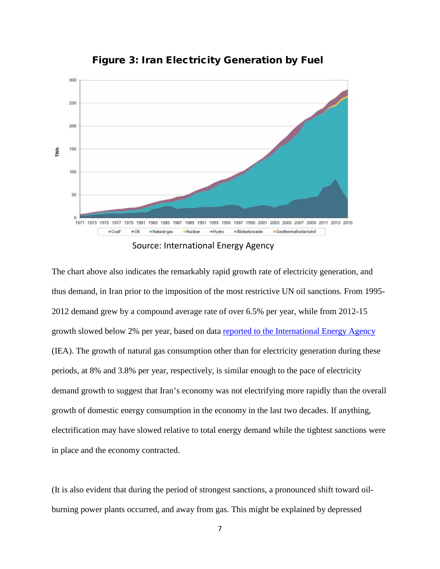

Figure 3: Iran Electricity Generation by Fuel

# Source: International Energy Agency

The chart above also indicates the remarkably rapid growth rate of electricity generation, and thus demand, in Iran prior to the imposition of the most restrictive UN oil sanctions. From 1995- 2012 demand grew by a compound average rate of over 6.5% per year, while from 2012-15 growth slowed below 2% per year, based on data [reported to the International Energy Agency](http://www.iea.org/statistics/statisticssearch/report/?year=2015&country=IRAN&product=ElectricityandHeat) (IEA). The growth of natural gas consumption other than for electricity generation during these periods, at 8% and 3.8% per year, respectively, is similar enough to the pace of electricity demand growth to suggest that Iran's economy was not electrifying more rapidly than the overall growth of domestic energy consumption in the economy in the last two decades. If anything, electrification may have slowed relative to total energy demand while the tightest sanctions were in place and the economy contracted.

(It is also evident that during the period of strongest sanctions, a pronounced shift toward oilburning power plants occurred, and away from gas. This might be explained by depressed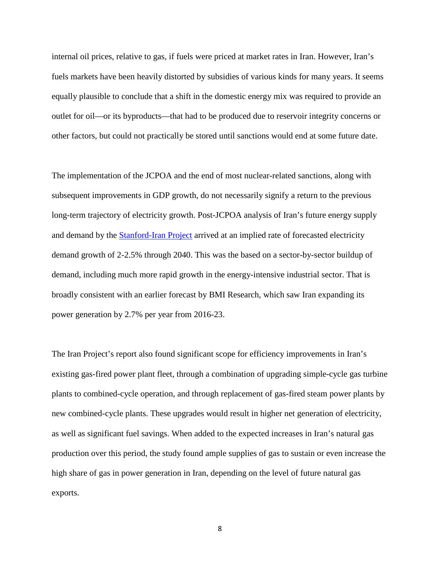internal oil prices, relative to gas, if fuels were priced at market rates in Iran. However, Iran's fuels markets have been heavily distorted by subsidies of various kinds for many years. It seems equally plausible to conclude that a shift in the domestic energy mix was required to provide an outlet for oil—or its byproducts—that had to be produced due to reservoir integrity concerns or other factors, but could not practically be stored until sanctions would end at some future date.

The implementation of the JCPOA and the end of most nuclear-related sanctions, along with subsequent improvements in GDP growth, do not necessarily signify a return to the previous long-term trajectory of electricity growth. Post-JCPOA analysis of Iran's future energy supply and demand by the [Stanford-Iran Project](https://iranian-studies.stanford.edu/sites/default/files/publications/the_outlook_for_natural_gas_electricity_and_renewable_energy_in_iran_2.pdf) arrived at an implied rate of forecasted electricity demand growth of 2-2.5% through 2040. This was the based on a sector-by-sector buildup of demand, including much more rapid growth in the energy-intensive industrial sector. That is broadly consistent with an earlier forecast by BMI Research, which saw Iran expanding its power generation by 2.7% per year from 2016-23.

The Iran Project's report also found significant scope for efficiency improvements in Iran's existing gas-fired power plant fleet, through a combination of upgrading simple-cycle gas turbine plants to combined-cycle operation, and through replacement of gas-fired steam power plants by new combined-cycle plants. These upgrades would result in higher net generation of electricity, as well as significant fuel savings. When added to the expected increases in Iran's natural gas production over this period, the study found ample supplies of gas to sustain or even increase the high share of gas in power generation in Iran, depending on the level of future natural gas exports.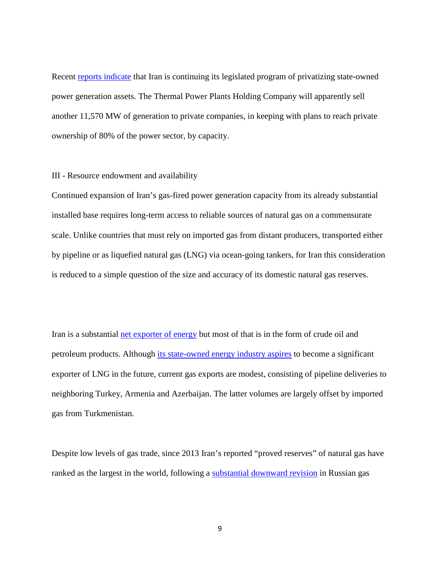Recent [reports indicate](https://financialtribune.com/articles/energy/81327/iran-govt-divesting-stake-in-thermal-power-plants) that Iran is continuing its legislated program of privatizing state-owned power generation assets. The Thermal Power Plants Holding Company will apparently sell another 11,570 MW of generation to private companies, in keeping with plans to reach private ownership of 80% of the power sector, by capacity.

#### III - Resource endowment and availability

Continued expansion of Iran's gas-fired power generation capacity from its already substantial installed base requires long-term access to reliable sources of natural gas on a commensurate scale. Unlike countries that must rely on imported gas from distant producers, transported either by pipeline or as liquefied natural gas (LNG) via ocean-going tankers, for Iran this consideration is reduced to a simple question of the size and accuracy of its domestic natural gas reserves.

Iran is a substantial [net exporter of energy](http://www.iea.org/statistics/statisticssearch/report/?country=IRAN&product=balances&year=2015) but most of that is in the form of crude oil and petroleum products. Although its [state-owned energy](https://www.wsj.com/articles/iran-seeks-rapid-reboot-for-natural-gas-exports-1453821547) industry aspires to become a significant exporter of LNG in the future, current gas exports are modest, consisting of pipeline deliveries to neighboring Turkey, Armenia and Azerbaijan. The latter volumes are largely offset by imported gas from Turkmenistan.

Despite low levels of gas trade, since 2013 Iran's reported "proved reserves" of natural gas have ranked as the largest in the world, following a [substantial downward revision](https://www.reuters.com/article/bp-reserves/update-3-bp-cuts-global-gas-reserves-estimate-mostly-for-russia-idUSL5N0EO1I720130612) in Russian gas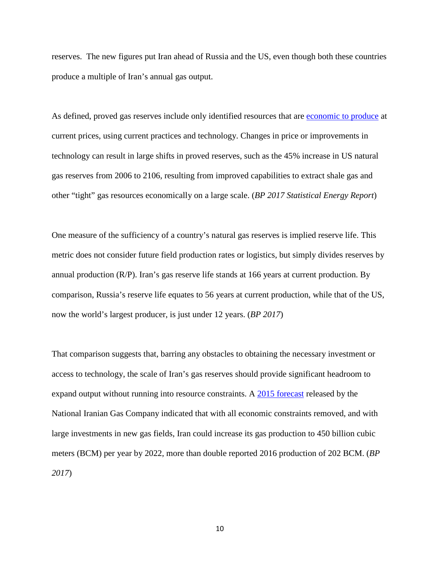reserves. The new figures put Iran ahead of Russia and the US, even though both these countries produce a multiple of Iran's annual gas output.

As defined, proved gas reserves include only identified resources that are [economic to produce](https://www.eia.gov/todayinenergy/detail.php?id=17151) at current prices, using current practices and technology. Changes in price or improvements in technology can result in large shifts in proved reserves, such as the 45% increase in US natural gas reserves from 2006 to 2106, resulting from improved capabilities to extract shale gas and other "tight" gas resources economically on a large scale. (*BP 2017 Statistical Energy Report*)

One measure of the sufficiency of a country's natural gas reserves is implied reserve life. This metric does not consider future field production rates or logistics, but simply divides reserves by annual production (R/P). Iran's gas reserve life stands at 166 years at current production. By comparison, Russia's reserve life equates to 56 years at current production, while that of the US, now the world's largest producer, is just under 12 years. (*BP 2017*)

That comparison suggests that, barring any obstacles to obtaining the necessary investment or access to technology, the scale of Iran's gas reserves should provide significant headroom to expand output without running into resource constraints. A [2015 forecast](https://pgjonline.com/2015/08/12/forecasting-irans-natural-gas-production-consumption/) released by the National Iranian Gas Company indicated that with all economic constraints removed, and with large investments in new gas fields, Iran could increase its gas production to 450 billion cubic meters (BCM) per year by 2022, more than double reported 2016 production of 202 BCM. (*BP 2017*)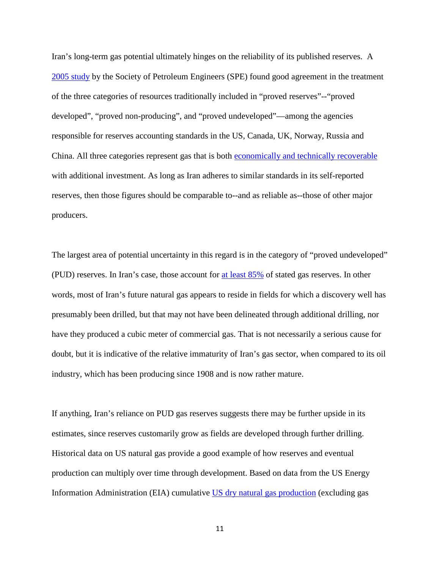Iran's long-term gas potential ultimately hinges on the reliability of its published reserves. A [2005 study](http://www.spe.org/industry/docs/OGR_Mapping.pdf) by the Society of Petroleum Engineers (SPE) found good agreement in the treatment of the three categories of resources traditionally included in "proved reserves"--"proved developed", "proved non-producing", and "proved undeveloped"—among the agencies responsible for reserves accounting standards in the US, Canada, UK, Norway, Russia and China. All three categories represent gas that is both [economically and technically recoverable](https://www.eia.gov/todayinenergy/detail.php?id=17151) with additional investment. As long as Iran adheres to similar standards in its self-reported reserves, then those figures should be comparable to--and as reliable as--those of other major producers.

The largest area of potential uncertainty in this regard is in the category of "proved undeveloped" (PUD) reserves. In Iran's case, those account for [at least 85%](https://www.eia.gov/analysis/requests/ngexports_iran/pdf/full.pdf) of stated gas reserves. In other words, most of Iran's future natural gas appears to reside in fields for which a discovery well has presumably been drilled, but that may not have been delineated through additional drilling, nor have they produced a cubic meter of commercial gas. That is not necessarily a serious cause for doubt, but it is indicative of the relative immaturity of Iran's gas sector, when compared to its oil industry, which has been producing since 1908 and is now rather mature.

If anything, Iran's reliance on PUD gas reserves suggests there may be further upside in its estimates, since reserves customarily grow as fields are developed through further drilling. Historical data on US natural gas provide a good example of how reserves and eventual production can multiply over time through development. Based on data from the US Energy Information Administration (EIA) cumulative US dry [natural gas production](https://www.eia.gov/dnav/ng/hist/n9070us2a.htm) (excluding gas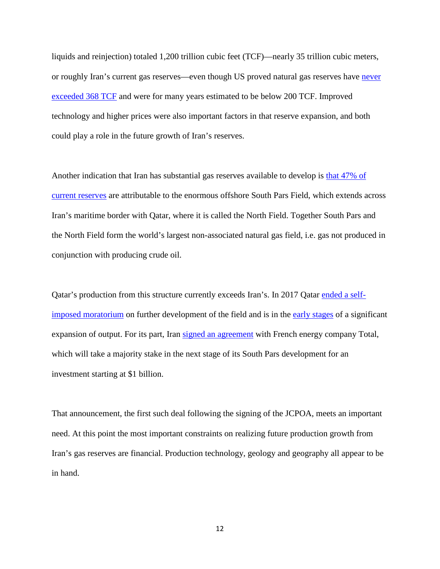liquids and reinjection) totaled 1,200 trillion cubic feet (TCF)—nearly 35 trillion cubic meters, or roughly Iran's current gas reserves—even though US proved natural gas reserves have [never](https://www.eia.gov/dnav/ng/hist/rngr11nus_1a.htm)  [exceeded](https://www.eia.gov/dnav/ng/hist/rngr11nus_1a.htm) 368 TCF and were for many years estimated to be below 200 TCF. Improved technology and higher prices were also important factors in that reserve expansion, and both could play a role in the future growth of Iran's reserves.

Another indication that Iran has substantial gas reserves available to develop is [that 47% of](https://www.eia.gov/analysis/requests/ngexports_iran/pdf/full.pdf)  [current reserves](https://www.eia.gov/analysis/requests/ngexports_iran/pdf/full.pdf) are attributable to the enormous offshore South Pars Field, which extends across Iran's maritime border with Qatar, where it is called the North Field. Together South Pars and the North Field form the world's largest non-associated natural gas field, i.e. gas not produced in conjunction with producing crude oil.

Qatar's production from this structure currently exceeds Iran's. In 2017 Qatar [ended a](https://www.haaretz.com/middle-east-news/the-qatar-iran-gas-field-behind-the-diplomatic-war-in-the-middle-east-1.5480343) self[imposed moratorium](https://www.haaretz.com/middle-east-news/the-qatar-iran-gas-field-behind-the-diplomatic-war-in-the-middle-east-1.5480343) on further development of the field and is in the [early stages](http://www.gulf-times.com/story/576882/Qatar-s-North-Field-expansion-moving-full-steam-ah) of a significant expansion of output. For its part, Iran [signed an agreement](http://money.cnn.com/2017/07/03/news/iran-total-sign-2-billion-gas-deal/index.html) with French energy company Total, which will take a majority stake in the next stage of its South Pars development for an investment starting at \$1 billion.

That announcement, the first such deal following the signing of the JCPOA, meets an important need. At this point the most important constraints on realizing future production growth from Iran's gas reserves are financial. Production technology, geology and geography all appear to be in hand.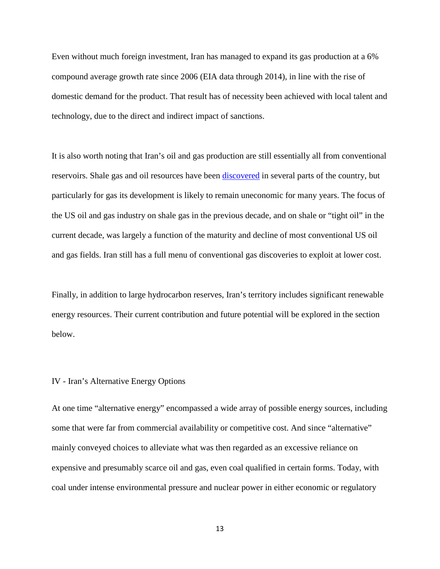Even without much foreign investment, Iran has managed to expand its gas production at a 6% compound average growth rate since 2006 (EIA data through 2014), in line with the rise of domestic demand for the product. That result has of necessity been achieved with local talent and technology, due to the direct and indirect impact of sanctions.

It is also worth noting that Iran's oil and gas production are still essentially all from conventional reservoirs. Shale gas and oil resources have been [discovered](https://oilprice.com/Energy/Crude-Oil/Why-Irans-Shale-Oil-Discovery-Wont-Add-To-The-Glut.html) in several parts of the country, but particularly for gas its development is likely to remain uneconomic for many years. The focus of the US oil and gas industry on shale gas in the previous decade, and on shale or "tight oil" in the current decade, was largely a function of the maturity and decline of most conventional US oil and gas fields. Iran still has a full menu of conventional gas discoveries to exploit at lower cost.

Finally, in addition to large hydrocarbon reserves, Iran's territory includes significant renewable energy resources. Their current contribution and future potential will be explored in the section below.

# IV - Iran's Alternative Energy Options

At one time "alternative energy" encompassed a wide array of possible energy sources, including some that were far from commercial availability or competitive cost. And since "alternative" mainly conveyed choices to alleviate what was then regarded as an excessive reliance on expensive and presumably scarce oil and gas, even coal qualified in certain forms. Today, with coal under intense environmental pressure and nuclear power in either economic or regulatory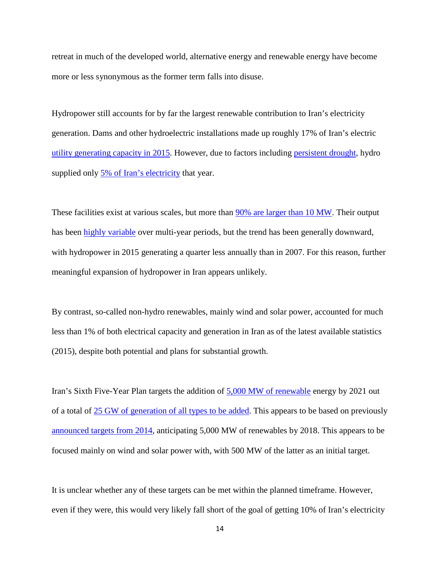retreat in much of the developed world, alternative energy and renewable energy have become more or less synonymous as the former term falls into disuse.

Hydropower still accounts for by far the largest renewable contribution to Iran's electricity generation. Dams and other hydroelectric installations made up roughly 17% of Iran's electric [utility generating capacity in 2015.](http://data.un.org/Data.aspx?d=EDATA&f=cmID%3aEC) However, due to factors including [persistent drought,](http://www.mei.edu/content/article/iran%E2%80%99s-renewable-energy-potential) hydro supplied only [5% of Iran's electricity](http://www.iea.org/statistics/statisticssearch/report/?year=2015&country=IRAN&product=ElectricityandHeat) that year.

These facilities exist at various scales, but more than  $90\%$  are [larger than 10 MW.](http://www.irena.org/DocumentDownloads/Publications/IRENA_Renewable_Energy_Statistics_2017.pdf) Their output has been [highly variable](http://www.irena.org/DocumentDownloads/Publications/IRENA_Renewable_Energy_Statistics_2017.pdf) over multi-year periods, but the trend has been generally downward, with hydropower in 2015 generating a quarter less annually than in 2007. For this reason, further meaningful expansion of hydropower in Iran appears unlikely.

By contrast, so-called non-hydro renewables, mainly wind and solar power, accounted for much less than 1% of both electrical capacity and generation in Iran as of the latest available statistics (2015), despite both potential and plans for substantial growth.

Iran's Sixth Five-Year Plan targets the addition of [5,000 MW of renewable](https://cleantechnica.com/2017/02/08/iran-approves-3-billion-worth-foreign-renewable-energy-investments/) energy by 2021 out of a total of [25 GW of generation of all types to be added.](http://www.cms-lawnow.com/ealerts/2017/04/iran-approves-the-sixth-development-plan-to-boost-investment) This appears to be based on previously [announced targets from](https://www.pv-magazine.com/2014/05/08/iran-reveals-5-gw-plans-for-solar-and-wind_100015040/) 2014, anticipating 5,000 MW of renewables by 2018. This appears to be focused mainly on wind and solar power with, with 500 MW of the latter as an initial target.

It is unclear whether any of these targets can be met within the planned timeframe. However, even if they were, this would very likely fall short of the goal of getting 10% of Iran's electricity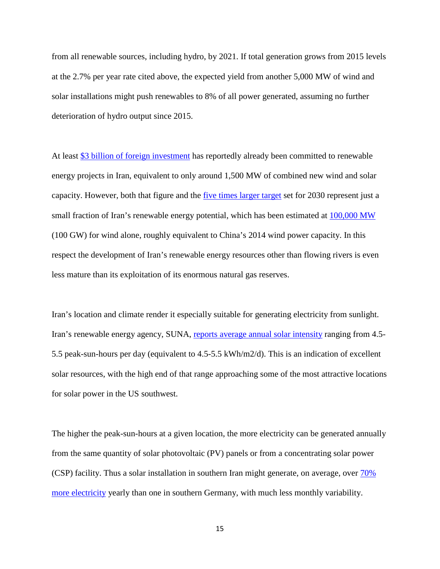from all renewable sources, including hydro, by 2021. If total generation grows from 2015 levels at the 2.7% per year rate cited above, the expected yield from another 5,000 MW of wind and solar installations might push renewables to 8% of all power generated, assuming no further deterioration of hydro output since 2015.

At least [\\$3 billion of foreign investment](https://cleantechnica.com/2017/02/08/iran-approves-3-billion-worth-foreign-renewable-energy-investments/) has reportedly already been committed to renewable energy projects in Iran, equivalent to only around 1,500 MW of combined new wind and solar capacity. However, both that figure and the [five times larger target](https://cleantechnica.com/2017/02/08/iran-approves-3-billion-worth-foreign-renewable-energy-investments/) set for 2030 represent just a small fraction of Iran's renewable energy potential, which has been estimated at [100,000 MW](http://archiv.windenergietage.de/WT24/24WT12_F9_1010_Iran.pdf) (100 GW) for wind alone, roughly equivalent to China's 2014 wind power capacity. In this respect the development of Iran's renewable energy resources other than flowing rivers is even less mature than its exploitation of its enormous natural gas reserves.

Iran's location and climate render it especially suitable for generating electricity from sunlight. Iran's renewable energy agency, SUNA, [reports average annual solar intensity](https://www.solarwirtschaft.de/fileadmin/media/pdf/AA_Report_BSW_Iran.pdf) ranging from 4.5-5.5 peak-sun-hours per day (equivalent to 4.5-5.5 kWh/m2/d). This is an indication of excellent solar resources, with the high end of that range approaching some of the most attractive locations for solar power in the US southwest.

The higher the peak-sun-hours at a given location, the more electricity can be generated annually from the same quantity of solar photovoltaic (PV) panels or from a concentrating solar power (CSP) facility. Thus a solar installation in southern Iran might generate, on average, over [70%](http://solarelectricityhandbook.com/solar-irradiance.html)  more [electricity](http://solarelectricityhandbook.com/solar-irradiance.html) yearly than one in southern Germany, with much less monthly variability.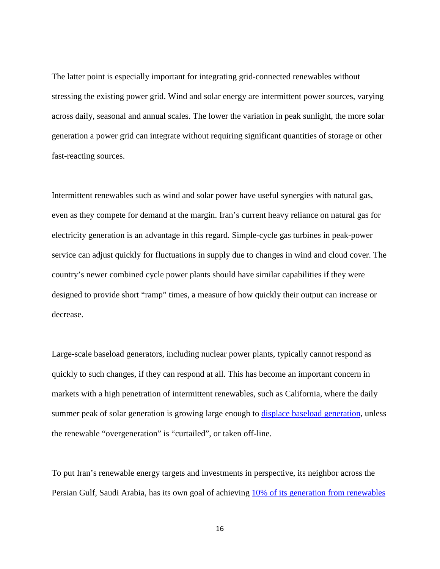The latter point is especially important for integrating grid-connected renewables without stressing the existing power grid. Wind and solar energy are intermittent power sources, varying across daily, seasonal and annual scales. The lower the variation in peak sunlight, the more solar generation a power grid can integrate without requiring significant quantities of storage or other fast-reacting sources.

Intermittent renewables such as wind and solar power have useful synergies with natural gas, even as they compete for demand at the margin. Iran's current heavy reliance on natural gas for electricity generation is an advantage in this regard. Simple-cycle gas turbines in peak-power service can adjust quickly for fluctuations in supply due to changes in wind and cloud cover. The country's newer combined cycle power plants should have similar capabilities if they were designed to provide short "ramp" times, a measure of how quickly their output can increase or decrease.

Large-scale baseload generators, including nuclear power plants, typically cannot respond as quickly to such changes, if they can respond at all. This has become an important concern in markets with a high penetration of intermittent renewables, such as California, where the daily summer peak of solar generation is growing large enough to [displace baseload generation,](https://www.nrel.gov/docs/fy16osti/65023.pdf) unless the renewable "overgeneration" is "curtailed", or taken off-line.

To put Iran's renewable energy targets and investments in perspective, its neighbor across the Persian Gulf, Saudi Arabia, has its own goal of achieving [10% of its generation from renewables](http://www.straitstimes.com/world/middle-east/from-oil-to-solar-energy-saudi-arabia-plots-a-shift-to-renewables)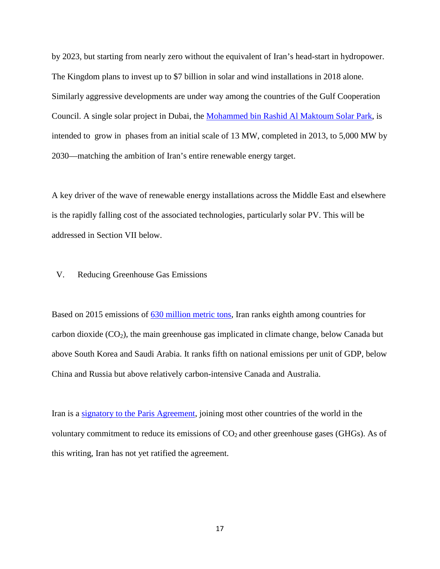by 2023, but starting from nearly zero without the equivalent of Iran's head-start in hydropower. The Kingdom plans to invest up to \$7 billion in solar and wind installations in 2018 alone. Similarly aggressive developments are under way among the countries of the Gulf Cooperation Council. A single solar project in Dubai, the [Mohammed bin Rashid Al Maktoum](https://www.dubaisolarshow.com/views/key-solar-projects-programmes-dubai.aspx) Solar Park, is intended to grow in phases from an initial scale of 13 MW, completed in 2013, to 5,000 MW by 2030—matching the ambition of Iran's entire renewable energy target.

A key driver of the wave of renewable energy installations across the Middle East and elsewhere is the rapidly falling cost of the associated technologies, particularly solar PV. This will be addressed in Section VII below.

# V. Reducing Greenhouse Gas Emissions

Based on 2015 emissions of [630 million metric tons,](http://edgar.jrc.ec.europa.eu/news_docs/jrc-2016-trends-in-global-co2-emissions-2016-report-103425.pdf) Iran ranks eighth among countries for carbon dioxide  $(CO_2)$ , the main greenhouse gas implicated in climate change, below Canada but above South Korea and Saudi Arabia. It ranks fifth on national emissions per unit of GDP, below China and Russia but above relatively carbon-intensive Canada and Australia.

Iran is a [signatory to the Paris Agreement,](http://unfccc.int/paris_agreement/items/9444.php) joining most other countries of the world in the voluntary commitment to reduce its emissions of  $CO<sub>2</sub>$  and other greenhouse gases (GHGs). As of this writing, Iran has not yet ratified the agreement.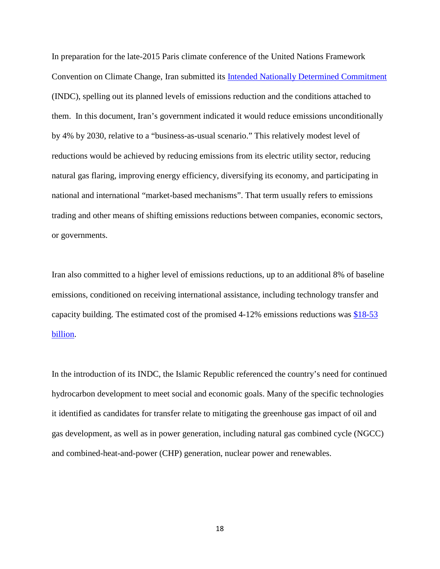In preparation for the late-2015 Paris climate conference of the United Nations Framework Convention on Climate Change, Iran submitted its [Intended Nationally Determined Commitment](http://www4.unfccc.int/Submissions/INDC/Published%20Documents/Iran/1/INDC%20Iran%20Final%20Text.pdf) (INDC), spelling out its planned levels of emissions reduction and the conditions attached to them. In this document, Iran's government indicated it would reduce emissions unconditionally by 4% by 2030, relative to a "business-as-usual scenario." This relatively modest level of reductions would be achieved by reducing emissions from its electric utility sector, reducing natural gas flaring, improving energy efficiency, diversifying its economy, and participating in national and international "market-based mechanisms". That term usually refers to emissions trading and other means of shifting emissions reductions between companies, economic sectors, or governments.

Iran also committed to a higher level of emissions reductions, up to an additional 8% of baseline emissions, conditioned on receiving international assistance, including technology transfer and capacity building. The estimated cost of the promised 4-12% emissions reductions was [\\$18-53](http://www4.unfccc.int/Submissions/INDC/Published%20Documents/Iran/1/INDC%20Iran%20Final%20Text.pdf)  [billion.](http://www4.unfccc.int/Submissions/INDC/Published%20Documents/Iran/1/INDC%20Iran%20Final%20Text.pdf)

In the introduction of its INDC, the Islamic Republic referenced the country's need for continued hydrocarbon development to meet social and economic goals. Many of the specific technologies it identified as candidates for transfer relate to mitigating the greenhouse gas impact of oil and gas development, as well as in power generation, including natural gas combined cycle (NGCC) and combined-heat-and-power (CHP) generation, nuclear power and renewables.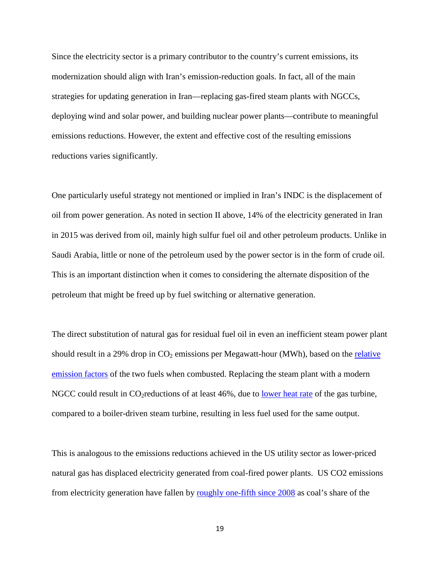Since the electricity sector is a primary contributor to the country's current emissions, its modernization should align with Iran's emission-reduction goals. In fact, all of the main strategies for updating generation in Iran—replacing gas-fired steam plants with NGCCs, deploying wind and solar power, and building nuclear power plants—contribute to meaningful emissions reductions. However, the extent and effective cost of the resulting emissions reductions varies significantly.

One particularly useful strategy not mentioned or implied in Iran's INDC is the displacement of oil from power generation. As noted in section II above, 14% of the electricity generated in Iran in 2015 was derived from oil, mainly high sulfur fuel oil and other petroleum products. Unlike in Saudi Arabia, little or none of the petroleum used by the power sector is in the form of crude oil. This is an important distinction when it comes to considering the alternate disposition of the petroleum that might be freed up by fuel switching or alternative generation.

The direct substitution of natural gas for residual fuel oil in even an inefficient steam power plant should result in a 29% drop in  $CO<sub>2</sub>$  emissions per Megawatt-hour (MWh), based on the relative [emission factors](https://www.epa.gov/sites/production/files/2015-07/documents/emission-factors_2014.pdf) of the two fuels when combusted. Replacing the steam plant with a modern NGCC could result in  $CO_2$  reductions of at least 46%, due to <u>lower heat rate</u> of the gas turbine, compared to a boiler-driven steam turbine, resulting in less fuel used for the same output.

This is analogous to the emissions reductions achieved in the US utility sector as lower-priced natural gas has displaced electricity generated from coal-fired power plants. US CO2 emissions from electricity generation have fallen by [roughly one-fifth since 2008](https://www.eia.gov/todayinenergy/detail.php?id=26232) as coal's share of the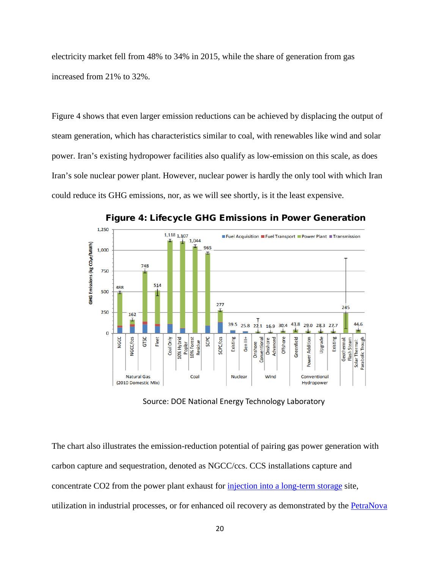electricity market fell from 48% to 34% in 2015, while the share of generation from gas increased from 21% to 32%.

Figure 4 shows that even larger emission reductions can be achieved by displacing the output of steam generation, which has characteristics similar to coal, with renewables like wind and solar power. Iran's existing hydropower facilities also qualify as low-emission on this scale, as does Iran's sole nuclear power plant. However, nuclear power is hardly the only tool with which Iran could reduce its GHG emissions, nor, as we will see shortly, is it the least expensive.



Figure 4: Lifecycle GHG Emissions in Power Generation

Source: DOE National Energy Technology Laboratory

The chart also illustrates the emission-reduction potential of pairing gas power generation with carbon capture and sequestration, denoted as NGCC/ccs. CCS installations capture and concentrate CO2 from the power plant exhaust for [injection into a long-term storage](https://www.theguardian.com/environment/2014/oct/01/canada-switches-on-worlds-first-carbon-capture-power-plant) site, utilization in industrial processes, or for enhanced oil recovery as demonstrated by the [PetraNova](http://www.powermag.com/capturing-carbon-and-seizing-innovation-petra-nova-is-powers-plant-of-the-year/)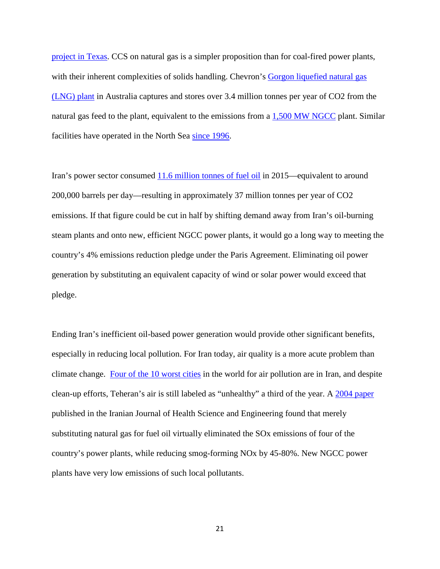[project in Texas.](http://www.powermag.com/capturing-carbon-and-seizing-innovation-petra-nova-is-powers-plant-of-the-year/) CCS on natural gas is a simpler proposition than for coal-fired power plants, with their inherent complexities of solids handling. Chevron's Gorgon liquefied natural gas [\(LNG\) plant](http://www.zeroco2.no/projects/gorgon) in Australia captures and stores over 3.4 million tonnes per year of CO2 from the natural gas feed to the plant, equivalent to the emissions from a [1,500 MW NGCC](https://blogs.scientificamerican.com/plugged-in/running-the-numbers-on-epae28099s-new-co2-regulations-combined-cycle-stacks-up-well/) plant. Similar facilities have operated in the North Sea [since 1996.](https://www.globalccsinstitute.com/projects/sleipner%C2%A0co2-storage-project)

Iran's power sector consumed [11.6 million tonnes](http://www.iea.org/statistics/statisticssearch/report/?year=2015&country=IRAN&product=Balances) of fuel oil in 2015—equivalent to around 200,000 barrels per day—resulting in approximately 37 million tonnes per year of CO2 emissions. If that figure could be cut in half by shifting demand away from Iran's oil-burning steam plants and onto new, efficient NGCC power plants, it would go a long way to meeting the country's 4% emissions reduction pledge under the Paris Agreement. Eliminating oil power generation by substituting an equivalent capacity of wind or solar power would exceed that pledge.

Ending Iran's inefficient oil-based power generation would provide other significant benefits, especially in reducing local pollution. For Iran today, [air quality](http://www.al-monitor.com/pulse/originals/2016/11/tehran-air-pollution-alarming-levels-schools-shut.html) is a more acute problem than climate change. [Four of the 10 worst cities](http://www.bmj.com/content/348/bmj.g1586) in the world for air pollution are in Iran, and despite clean-up efforts, Teheran's air is still labeled as "unhealthy" a third of the year. A [2004 paper](http://www.bioline.org.br/pdf?se04008) published in the Iranian Journal of Health Science and Engineering found that merely substituting natural gas for fuel oil virtually eliminated the SOx emissions of four of the country's power plants, while reducing smog-forming NOx by 45-80%. New NGCC power plants have very low emissions of such local pollutants.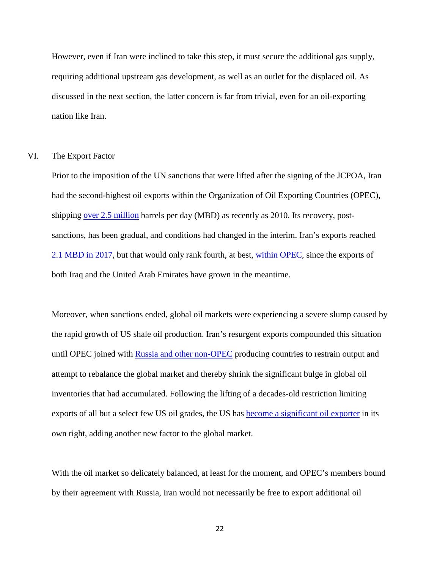However, even if Iran were inclined to take this step, it must secure the additional gas supply, requiring additional upstream gas development, as well as an outlet for the displaced oil. As discussed in the next section, the latter concern is far from trivial, even for an oil-exporting nation like Iran.

# VI. The Export Factor

Prior to the imposition of the UN sanctions that were lifted after the signing of the JCPOA, Iran had the second-highest oil exports within the Organization of Oil Exporting Countries (OPEC), shipping [over 2.5 million](https://asb.opec.org/index.php/interactive-charts/oil-trade) barrels per day (MBD) as recently as 2010. Its recovery, postsanctions, has been gradual, and conditions had changed in the interim. Iran's exports reached [2.1 MBD in 2017,](https://oilprice.com/Latest-Energy-News/World-News/Iran-Oil-Exports-Hit-777-Million-Barrels-In-2017.html) but that would only rank fourth, at best, [within OPEC,](http://www.opec.org/opec_web/static_files_project/media/downloads/publications/ASB2017_13062017.pdf) since the exports of both Iraq and the United Arab Emirates have grown in the meantime.

Moreover, when sanctions ended, global oil markets were experiencing a severe slump caused by the rapid growth of US shale oil production. Iran's resurgent exports compounded this situation until OPEC joined with [Russia and other non-OPEC](https://www.ft.com/content/4cd8dce2-beec-11e6-9bca-2b93a6856354) producing countries to restrain output and attempt to rebalance the global market and thereby shrink the significant bulge in global oil inventories that had accumulated. Following the lifting of a decades-old restriction limiting exports of all but a select few US oil grades, the US has [become a significant oil exporter](http://www.washingtonexaminer.com/oil-exports-climbing-two-years-after-40-year-old-ban-lifted/article/2638865) in its own right, adding another new factor to the global market.

With the oil market so delicately balanced, at least for the moment, and OPEC's members bound by their agreement with Russia, Iran would not necessarily be free to export additional oil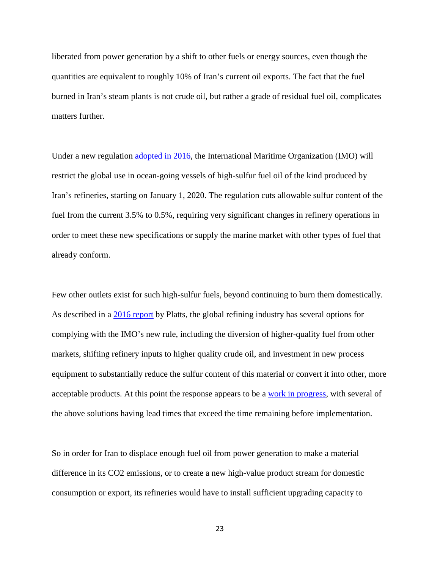liberated from power generation by a shift to other fuels or energy sources, even though the quantities are equivalent to roughly 10% of Iran's current oil exports. The fact that the fuel burned in Iran's steam plants is not crude oil, but rather a grade of residual fuel oil, complicates matters further.

Under a new regulation [adopted in 2016,](http://www.imo.org/en/MediaCentre/PressBriefings/Pages/MEPC-70-2020sulphur.aspx) the International Maritime Organization (IMO) will restrict the global use in ocean-going vessels of high-sulfur fuel oil of the kind produced by Iran's refineries, starting on January 1, 2020. The regulation cuts allowable sulfur content of the fuel from the current 3.5% to 0.5%, requiring very significant changes in refinery operations in order to meet these new specifications or supply the marine market with other types of fuel that already conform.

Few other outlets exist for such high-sulfur fuels, beyond continuing to burn them domestically. As described in a [2016 report](https://www.platts.com/IM.Platts.Content/InsightAnalysis/IndustrySolutionPapers/SR-IMO-2020-Global-sulfur-cap-102016.pdf) by Platts, the global refining industry has several options for complying with the IMO's new rule, including the diversion of higher-quality fuel from other markets, shifting refinery inputs to higher quality crude oil, and investment in new process equipment to substantially reduce the sulfur content of this material or convert it into other, more acceptable products. At this point the response appears to be a [work in progress,](https://www.businesswire.com/news/home/20170828005198/en/New-Low-Sulfur-Requirements-Marine-Bunker-Fuels-Causing) with several of the above solutions having lead times that exceed the time remaining before implementation.

So in order for Iran to displace enough fuel oil from power generation to make a material difference in its CO2 emissions, or to create a new high-value product stream for domestic consumption or export, its refineries would have to install sufficient upgrading capacity to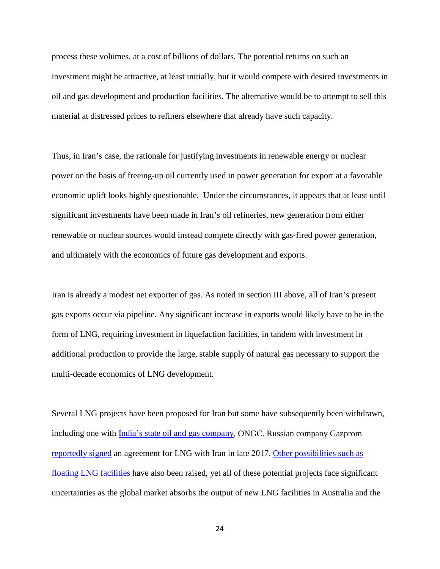process these volumes, at a cost of billions of dollars. The potential returns on such an investment might be attractive, at least initially, but it would compete with desired investments in oil and gas development and production facilities. The alternative would be to attempt to sell this material at distressed prices to refiners elsewhere that already have such capacity.

Thus, in Iran's case, the rationale for justifying investments in renewable energy or nuclear power on the basis of freeing-up oil currently used in power generation for export at a favorable economic uplift looks highly questionable. Under the circumstances, it appears that at least until significant investments have been made in Iran's oil refineries, new generation from either renewable or nuclear sources would instead compete directly with gas-fired power generation, and ultimately with the economics of future gas development and exports.

Iran is already a modest net exporter of gas. As noted in section III above, all of Iran's present gas exports occur via pipeline. Any significant increase in exports would likely have to be in the form of LNG, requiring investment in liquefaction facilities, in tandem with investment in additional production to provide the large, stable supply of natural gas necessary to support the multi-decade economics of LNG development.

Several LNG projects have been proposed for Iran but some have subsequently been withdrawn, including one with *India's* state oil and gas company, ONGC. Russian company Gazprom [reportedly](https://www.lngworldnews.com/gazprom-in-iran-lng-cooperation-deal/) signed an agreement for LNG with Iran in late 2017. [Other possibilities](http://www.lngworldshipping.com/news/view,iran-ponders-lng_49826.htm) such as floating LNG facilities have also been raised, yet all of these potential projects face significant uncertainties as the global market absorbs the output of new LNG facilities in Australia and the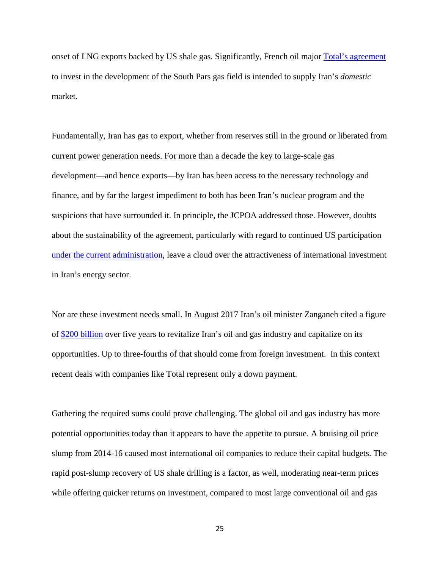onset of LNG exports backed by US shale gas. Significantly, French oil major [Total's agreement](https://www.ft.com/content/3b530f02-5f1d-11e7-8814-0ac7eb84e5f1) to invest in the development of the South Pars gas field is intended to supply Iran's *domestic* market.

Fundamentally, Iran has gas to export, whether from reserves still in the ground or liberated from current power generation needs. For more than a decade the key to large-scale gas development—and hence exports—by Iran has been access to the necessary technology and finance, and by far the largest impediment to both has been Iran's nuclear program and the suspicions that have surrounded it. In principle, the JCPOA addressed those. However, doubts about the sustainability of the agreement, particularly with regard to continued US participation [under the current administration,](https://www.cnn.com/2018/01/12/politics/president-donald-trump-iran-deal-waiver/index.html) leave a cloud over the attractiveness of international investment in Iran's energy sector.

Nor are these investment needs small. In August 2017 Iran's oil minister Zanganeh cited a figure of [\\$200 billion](http://www.iran-daily.com/News/199102.html?catid=3&title=Foreign-funds-for-Iran-s-oil-sector-a-top-priority--Zanganeh) over five years to revitalize Iran's oil and gas industry and capitalize on its opportunities. Up to three-fourths of that should come from foreign investment. In this context recent deals with companies like Total represent only a down payment.

Gathering the required sums could prove challenging. The global oil and gas industry has more potential opportunities today than it appears to have the appetite to pursue. A bruising oil price slump from 2014-16 caused most international oil companies to reduce their capital budgets. The rapid post-slump recovery of US shale drilling is a factor, as well, moderating near-term prices while offering quicker returns on investment, compared to most large conventional oil and gas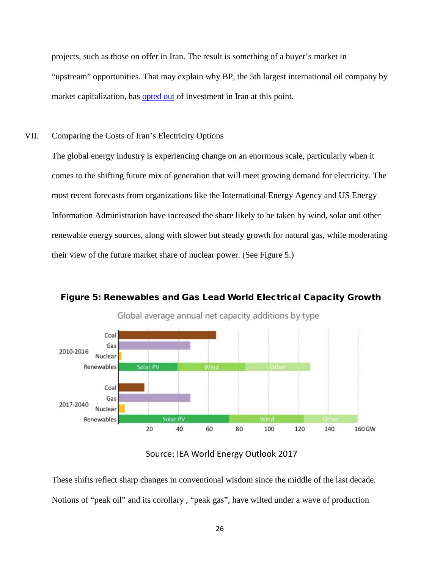projects, such as those on offer in Iran. The result is something of a buyer's market in "upstream" opportunities. That may explain why BP, the 5th largest international oil company by market capitalization, has [opted out](https://www.ft.com/content/b73c0e9e-ce7b-11e6-b8ce-b9c03770f8b1) of investment in Iran at this point.

VII. Comparing the Costs of Iran's Electricity Options

The global energy industry is experiencing change on an enormous scale, particularly when it comes to the shifting future mix of generation that will meet growing demand for electricity. The most recent forecasts from organizations like the International Energy Agency and US Energy Information Administration have increased the share likely to be taken by wind, solar and other renewable energy sources, along with slower but steady growth for natural gas, while moderating their view of the future market share of nuclear power. (See Figure 5.)



Figure 5: Renewables and Gas Lead World Electrical Capacity Growth

Source: IEA World Energy Outlook 2017

These shifts reflect sharp changes in conventional wisdom since the middle of the last decade. Notions of "peak oil" and its corollary , "peak gas", have wilted under a wave of production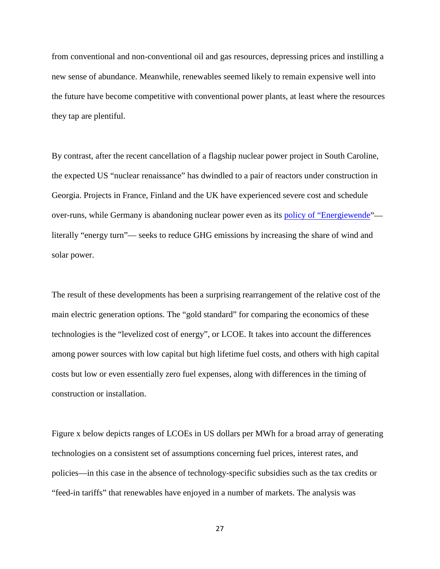from conventional and non-conventional oil and gas resources, depressing prices and instilling a new sense of abundance. Meanwhile, renewables seemed likely to remain expensive well into the future have become competitive with conventional power plants, at least where the resources they tap are plentiful.

By contrast, after the recent cancellation of a flagship nuclear power project in South Caroline, the expected US "nuclear renaissance" has dwindled to a pair of reactors under construction in Georgia. Projects in France, Finland and the UK have experienced severe cost and schedule over-runs, while Germany is abandoning nuclear power even as its [policy of "Energiewende"](http://www.dw.com/en/germanys-nuclear-phase-out-explained/a-39171204) literally "energy turn"— seeks to reduce GHG emissions by increasing the share of wind and solar power.

The result of these developments has been a surprising rearrangement of the relative cost of the main electric generation options. The "gold standard" for comparing the economics of these technologies is the "levelized cost of energy", or LCOE. It takes into account the differences among power sources with low capital but high lifetime fuel costs, and others with high capital costs but low or even essentially zero fuel expenses, along with differences in the timing of construction or installation.

Figure x below depicts ranges of LCOEs in US dollars per MWh for a broad array of generating technologies on a consistent set of assumptions concerning fuel prices, interest rates, and policies—in this case in the absence of technology-specific subsidies such as the tax credits or "feed-in tariffs" that renewables have enjoyed in a number of markets. The analysis was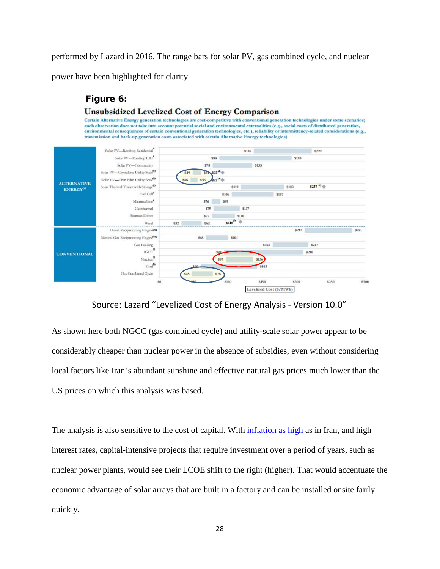performed by Lazard in 2016. The range bars for solar PV, gas combined cycle, and nuclear

power have been highlighted for clarity.



Source: Lazard "Levelized Cost of Energy Analysis - Version 10.0"

As shown here both NGCC (gas combined cycle) and utility-scale solar power appear to be considerably cheaper than nuclear power in the absence of subsidies, even without considering local factors like Iran's abundant sunshine and effective natural gas prices much lower than the US prices on which this analysis was based.

The analysis is also sensitive to the cost of capital. With [inflation as high](https://tradingeconomics.com/iran/forecast) as in Iran, and high interest rates, capital-intensive projects that require investment over a period of years, such as nuclear power plants, would see their LCOE shift to the right (higher). That would accentuate the economic advantage of solar arrays that are built in a factory and can be installed onsite fairly quickly.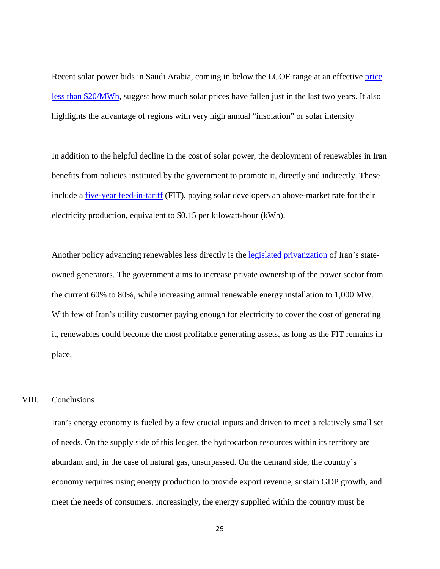Recent solar power bids in Saudi Arabia, coming in below the LCOE range at an effective price less than \$20/MWh, suggest how much solar prices have fallen just in the last two years. It also highlights the advantage of regions with very high annual "insolation" or solar intensity

In addition to the helpful decline in the cost of solar power, the deployment of renewables in Iran benefits from policies instituted by the government to promote it, directly and indirectly. These include a <u>five-year feed-in-tariff</u> (FIT), paying solar developers an above-market rate for their electricity production, equivalent to \$0.15 per kilowatt-hour (kWh).

Another policy advancing renewables less directly is the [legislated privatization](https://financialtribune.com/articles/energy/81327/iran-govt-divesting-stake-in-thermal-power-plants) of Iran's stateowned generators. The government aims to increase private ownership of the power sector from the current 60% to 80%, while increasing annual renewable energy installation to 1,000 MW. With few of Iran's utility customer paying enough for electricity to cover the cost of generating it, renewables could become the most profitable generating assets, as long as the FIT remains in place.

# VIII. Conclusions

Iran's energy economy is fueled by a few crucial inputs and driven to meet a relatively small set of needs. On the supply side of this ledger, the hydrocarbon resources within its territory are abundant and, in the case of natural gas, unsurpassed. On the demand side, the country's economy requires rising energy production to provide export revenue, sustain GDP growth, and meet the needs of consumers. Increasingly, the energy supplied within the country must be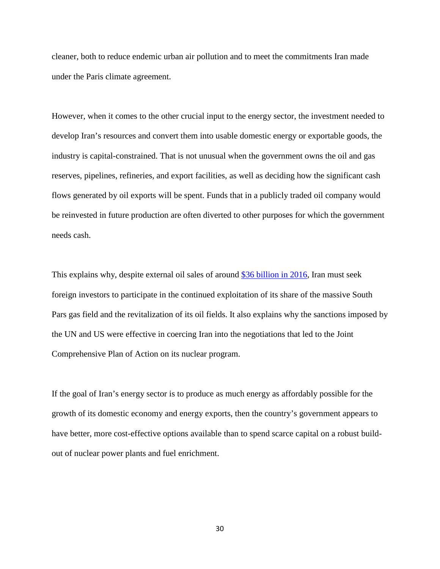cleaner, both to reduce endemic urban air pollution and to meet the commitments Iran made under the Paris climate agreement.

However, when it comes to the other crucial input to the energy sector, the investment needed to develop Iran's resources and convert them into usable domestic energy or exportable goods, the industry is capital-constrained. That is not unusual when the government owns the oil and gas reserves, pipelines, refineries, and export facilities, as well as deciding how the significant cash flows generated by oil exports will be spent. Funds that in a publicly traded oil company would be reinvested in future production are often diverted to other purposes for which the government needs cash.

This explains why, despite external oil sales of around \$36 [billion in 2016,](https://www.statista.com/statistics/223231/opec-net-oil-export-revenue-streams-by-country/) Iran must seek foreign investors to participate in the continued exploitation of its share of the massive South Pars gas field and the revitalization of its oil fields. It also explains why the sanctions imposed by the UN and US were effective in coercing Iran into the negotiations that led to the Joint Comprehensive Plan of Action on its nuclear program.

If the goal of Iran's energy sector is to produce as much energy as affordably possible for the growth of its domestic economy and energy exports, then the country's government appears to have better, more cost-effective options available than to spend scarce capital on a robust buildout of nuclear power plants and fuel enrichment.